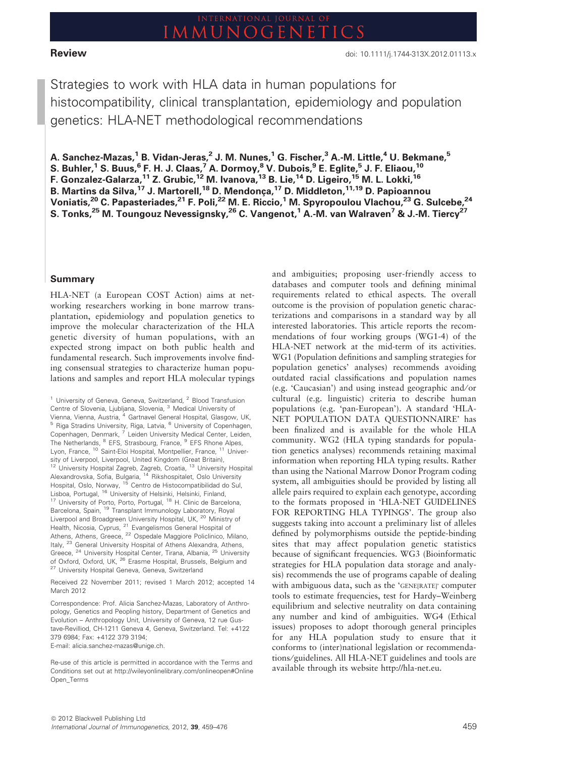# MMUNOGENET

Strategies to work with HLA data in human populations for histocompatibility, clinical transplantation, epidemiology and population genetics: HLA-NET methodological recommendations

A. Sanchez-Mazas,<sup>1</sup> B. Vidan-Jeras,<sup>2</sup> J. M. Nunes,<sup>1</sup> G. Fischer,<sup>3</sup> A.-M. Little,<sup>4</sup> U. Bekmane,<sup>5</sup> S. Buhler,<sup>1</sup> S. Buus,<sup>6</sup> F. H. J. Claas,<sup>7</sup> A. Dormoy,<sup>8</sup> V. Dubois,<sup>9</sup> E. Eglite,<sup>5</sup> J. F. Eliaou,<sup>10</sup> F. Gonzalez-Galarza,<sup>11</sup> Z. Grubic,<sup>12</sup> M. Ivanova,<sup>13</sup> B. Lie,<sup>14</sup> D. Ligeiro,<sup>15</sup> M. L. Lokki,<sup>16</sup> B. Martins da Silva,<sup>17</sup> J. Martorell,<sup>18</sup> D. Mendonça,<sup>17</sup> D. Middleton,<sup>11,19</sup> D. Papioannou Voniatis,<sup>20</sup> C. Papasteriades,<sup>21</sup> F. Poli,<sup>22</sup> M. E. Riccio,<sup>1</sup> M. Spyropoulou Vlachou,<sup>23</sup> G. Sulcebe,<sup>24</sup> S. Tonks,<sup>25</sup> M. Toungouz Nevessignsky,<sup>26</sup> C. Vangenot,<sup>1</sup> A.-M. van Walraven<sup>7</sup> & J.-M. Tiercy<sup>27</sup>

# Summary

HLA-NET (a European COST Action) aims at networking researchers working in bone marrow transplantation, epidemiology and population genetics to improve the molecular characterization of the HLA genetic diversity of human populations, with an expected strong impact on both public health and fundamental research. Such improvements involve finding consensual strategies to characterize human populations and samples and report HLA molecular typings

Received 22 November 2011; revised 1 March 2012; accepted 14 March 2012

Correspondence: Prof. Alicia Sanchez-Mazas, Laboratory of Anthropology, Genetics and Peopling history, Department of Genetics and Evolution – Anthropology Unit, University of Geneva, 12 rue Gustave-Revilliod, CH-1211 Geneva 4, Geneva, Switzerland. Tel: +4122 379 6984; Fax: +4122 379 3194;

E-mail: alicia.sanchez-mazas@unige.ch.

Re-use of this article is permitted in accordance with the Terms and Conditions set out at http://wileyonlinelibrary.com/onlineopen#Online Open\_Terms

and ambiguities; proposing user-friendly access to databases and computer tools and defining minimal requirements related to ethical aspects. The overall outcome is the provision of population genetic characterizations and comparisons in a standard way by all interested laboratories. This article reports the recommendations of four working groups (WG1-4) of the HLA-NET network at the mid-term of its activities. WG1 (Population definitions and sampling strategies for population genetics' analyses) recommends avoiding outdated racial classifications and population names (e.g. 'Caucasian') and using instead geographic and ⁄ or cultural (e.g. linguistic) criteria to describe human populations (e.g. 'pan-European'). A standard 'HLA-NET POPULATION DATA QUESTIONNAIRE' has been finalized and is available for the whole HLA community. WG2 (HLA typing standards for population genetics analyses) recommends retaining maximal information when reporting HLA typing results. Rather than using the National Marrow Donor Program coding system, all ambiguities should be provided by listing all allele pairs required to explain each genotype, according to the formats proposed in 'HLA-NET GUIDELINES FOR REPORTING HLA TYPINGS'. The group also suggests taking into account a preliminary list of alleles defined by polymorphisms outside the peptide-binding sites that may affect population genetic statistics because of significant frequencies. WG3 (Bioinformatic strategies for HLA population data storage and analysis) recommends the use of programs capable of dealing with ambiguous data, such as the 'GENE[RATE]' computer tools to estimate frequencies, test for Hardy–Weinberg equilibrium and selective neutrality on data containing any number and kind of ambiguities. WG4 (Ethical issues) proposes to adopt thorough general principles for any HLA population study to ensure that it conforms to (inter)national legislation or recommendations⁄ guidelines. All HLA-NET guidelines and tools are available through its website http://hla-net.eu.

<sup>&</sup>lt;sup>1</sup> University of Geneva, Geneva, Switzerland, <sup>2</sup> Blood Transfusion Centre of Slovenia, Ljubljana, Slovenia, <sup>3</sup> Medical University of Vienna, Vienna, Austria, <sup>4</sup> Gartnavel General Hospital, Glasgow, UK, <sup>5</sup> Riga Stradins University, Riga, Latvia, <sup>6</sup> University of Copenhagen, Copenhagen, Denmark, <sup>7</sup> Leiden University Medical Center, Leiden, The Netherlands, <sup>8</sup> EFS, Strasbourg, France, <sup>9</sup> EFS Rhone Alpes, Lyon, France, <sup>10</sup> Saint-Eloi Hospital, Montpellier, France, <sup>11</sup> University of Liverpool, Liverpool, United Kingdom (Great Britain), <sup>12</sup> University Hospital Zagreb, Zagreb, Croatia, <sup>13</sup> University Hospital Alexandrovska, Sofia, Bulgaria, <sup>14</sup> Rikshospitalet, Oslo University Hospital, Oslo, Norway, <sup>15</sup> Centro de Histocompatibilidad do Sul, Lisboa, Portugal, <sup>16</sup> University of Helsinki, Helsinki, Finland, <sup>17</sup> University of Porto, Porto, Portugal, <sup>18</sup> H. Clinic de Barcelona, Barcelona, Spain, <sup>19</sup> Transplant Immunology Laboratory, Royal Liverpool and Broadgreen University Hospital, UK, <sup>20</sup> Ministry of Health, Nicosia, Cyprus, <sup>21</sup> Evangelismos General Hospital of Athens, Athens, Greece, <sup>22</sup> Ospedale Maggiore Policlinico, Milano, Italy, <sup>23</sup> General University Hospital of Athens Alexandra, Athens, Greece, <sup>24</sup> University Hospital Center, Tirana, Albania, <sup>25</sup> University of Oxford, Oxford, UK, <sup>26</sup> Erasme Hospital, Brussels, Belgium and <sup>27</sup> University Hospital Geneva, Geneva, Switzerland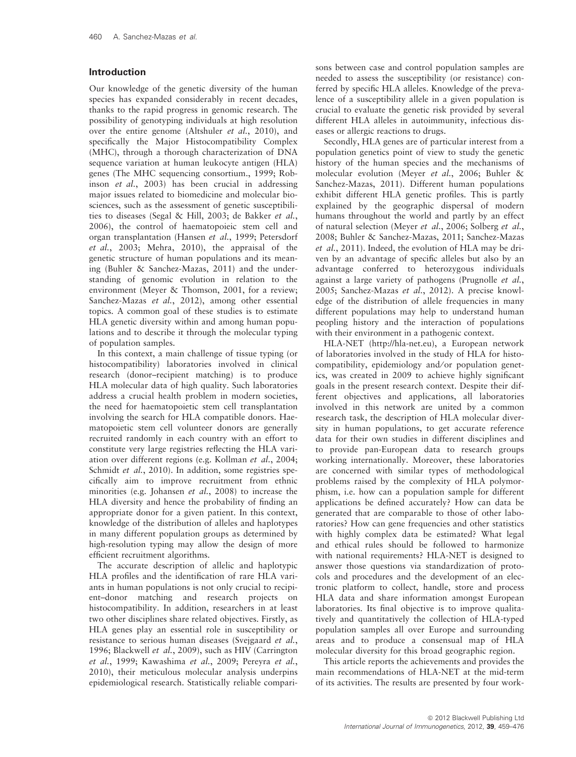# Introduction

Our knowledge of the genetic diversity of the human species has expanded considerably in recent decades, thanks to the rapid progress in genomic research. The possibility of genotyping individuals at high resolution over the entire genome (Altshuler et al., 2010), and specifically the Major Histocompatibility Complex (MHC), through a thorough characterization of DNA sequence variation at human leukocyte antigen (HLA) genes (The MHC sequencing consortium., 1999; Robinson et al., 2003) has been crucial in addressing major issues related to biomedicine and molecular biosciences, such as the assessment of genetic susceptibilities to diseases (Segal & Hill, 2003; de Bakker et al., 2006), the control of haematopoieic stem cell and organ transplantation (Hansen et al., 1999; Petersdorf et al., 2003; Mehra, 2010), the appraisal of the genetic structure of human populations and its meaning (Buhler & Sanchez-Mazas, 2011) and the understanding of genomic evolution in relation to the environment (Meyer & Thomson, 2001, for a review; Sanchez-Mazas et al., 2012), among other essential topics. A common goal of these studies is to estimate HLA genetic diversity within and among human populations and to describe it through the molecular typing of population samples.

In this context, a main challenge of tissue typing (or histocompatibility) laboratories involved in clinical research (donor–recipient matching) is to produce HLA molecular data of high quality. Such laboratories address a crucial health problem in modern societies, the need for haematopoietic stem cell transplantation involving the search for HLA compatible donors. Haematopoietic stem cell volunteer donors are generally recruited randomly in each country with an effort to constitute very large registries reflecting the HLA variation over different regions (e.g. Kollman et al., 2004; Schmidt et al., 2010). In addition, some registries specifically aim to improve recruitment from ethnic minorities (e.g. Johansen et al., 2008) to increase the HLA diversity and hence the probability of finding an appropriate donor for a given patient. In this context, knowledge of the distribution of alleles and haplotypes in many different population groups as determined by high-resolution typing may allow the design of more efficient recruitment algorithms.

The accurate description of allelic and haplotypic HLA profiles and the identification of rare HLA variants in human populations is not only crucial to recipient–donor matching and research projects on histocompatibility. In addition, researchers in at least two other disciplines share related objectives. Firstly, as HLA genes play an essential role in susceptibility or resistance to serious human diseases (Svejgaard et al., 1996; Blackwell et al., 2009), such as HIV (Carrington et al., 1999; Kawashima et al., 2009; Pereyra et al., 2010), their meticulous molecular analysis underpins epidemiological research. Statistically reliable comparisons between case and control population samples are needed to assess the susceptibility (or resistance) conferred by specific HLA alleles. Knowledge of the prevalence of a susceptibility allele in a given population is crucial to evaluate the genetic risk provided by several different HLA alleles in autoimmunity, infectious diseases or allergic reactions to drugs.

Secondly, HLA genes are of particular interest from a population genetics point of view to study the genetic history of the human species and the mechanisms of molecular evolution (Meyer et al., 2006; Buhler & Sanchez-Mazas, 2011). Different human populations exhibit different HLA genetic profiles. This is partly explained by the geographic dispersal of modern humans throughout the world and partly by an effect of natural selection (Meyer et al., 2006; Solberg et al., 2008; Buhler & Sanchez-Mazas, 2011; Sanchez-Mazas et al., 2011). Indeed, the evolution of HLA may be driven by an advantage of specific alleles but also by an advantage conferred to heterozygous individuals against a large variety of pathogens (Prugnolle et al., 2005; Sanchez-Mazas et al., 2012). A precise knowledge of the distribution of allele frequencies in many different populations may help to understand human peopling history and the interaction of populations with their environment in a pathogenic context.

HLA-NET (http://hla-net.eu), a European network of laboratories involved in the study of HLA for histocompatibility, epidemiology and/or population genetics, was created in 2009 to achieve highly significant goals in the present research context. Despite their different objectives and applications, all laboratories involved in this network are united by a common research task, the description of HLA molecular diversity in human populations, to get accurate reference data for their own studies in different disciplines and to provide pan-European data to research groups working internationally. Moreover, these laboratories are concerned with similar types of methodological problems raised by the complexity of HLA polymorphism, i.e. how can a population sample for different applications be defined accurately? How can data be generated that are comparable to those of other laboratories? How can gene frequencies and other statistics with highly complex data be estimated? What legal and ethical rules should be followed to harmonize with national requirements? HLA-NET is designed to answer those questions via standardization of protocols and procedures and the development of an electronic platform to collect, handle, store and process HLA data and share information amongst European laboratories. Its final objective is to improve qualitatively and quantitatively the collection of HLA-typed population samples all over Europe and surrounding areas and to produce a consensual map of HLA molecular diversity for this broad geographic region.

This article reports the achievements and provides the main recommendations of HLA-NET at the mid-term of its activities. The results are presented by four work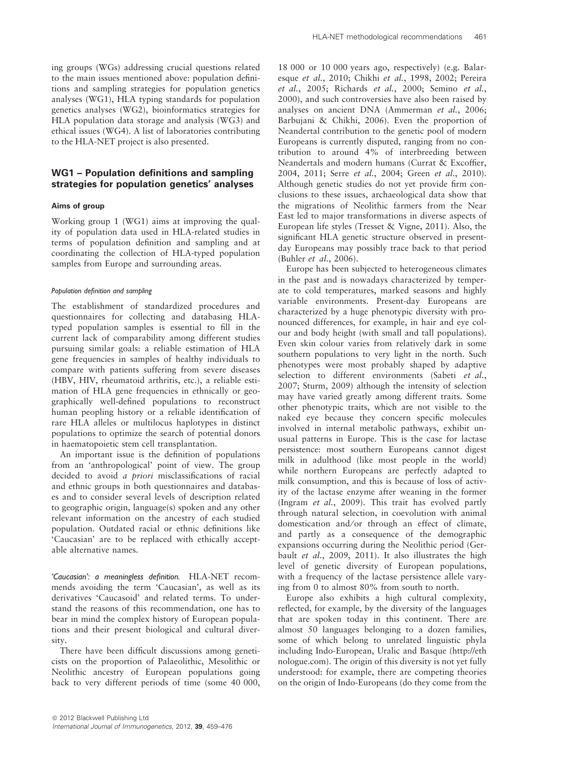ing groups (WGs) addressing crucial questions related to the main issues mentioned above: population definitions and sampling strategies for population genetics analyses (WG1), HLA typing standards for population genetics analyses (WG2), bioinformatics strategies for HLA population data storage and analysis (WG3) and ethical issues (WG4). A list of laboratories contributing to the HLA-NET project is also presented.

# WG1 – Population definitions and sampling strategies for population genetics' analyses

#### Aims of group

Working group 1 (WG1) aims at improving the quality of population data used in HLA-related studies in terms of population definition and sampling and at coordinating the collection of HLA-typed population samples from Europe and surrounding areas.

# Population definition and sampling

The establishment of standardized procedures and questionnaires for collecting and databasing HLAtyped population samples is essential to fill in the current lack of comparability among different studies pursuing similar goals: a reliable estimation of HLA gene frequencies in samples of healthy individuals to compare with patients suffering from severe diseases (HBV, HIV, rheumatoid arthritis, etc.), a reliable estimation of HLA gene frequencies in ethnically or geographically well-defined populations to reconstruct human peopling history or a reliable identification of rare HLA alleles or multilocus haplotypes in distinct populations to optimize the search of potential donors in haematopoietic stem cell transplantation.

An important issue is the definition of populations from an 'anthropological' point of view. The group decided to avoid a priori misclassifications of racial and ethnic groups in both questionnaires and databases and to consider several levels of description related to geographic origin, language(s) spoken and any other relevant information on the ancestry of each studied population. Outdated racial or ethnic definitions like 'Caucasian' are to be replaced with ethically acceptable alternative names.

'Caucasian': a meaningless definition. HLA-NET recommends avoiding the term 'Caucasian', as well as its derivatives 'Caucasoid' and related terms. To understand the reasons of this recommendation, one has to bear in mind the complex history of European populations and their present biological and cultural diversity.

There have been difficult discussions among geneticists on the proportion of Palaeolithic, Mesolithic or Neolithic ancestry of European populations going back to very different periods of time (some 40 000,

18 000 or 10 000 years ago, respectively) (e.g. Balaresque et al., 2010; Chikhi et al., 1998, 2002; Pereira et al., 2005; Richards et al., 2000; Semino et al., 2000), and such controversies have also been raised by analyses on ancient DNA (Ammerman et al., 2006; Barbujani & Chikhi, 2006). Even the proportion of Neandertal contribution to the genetic pool of modern Europeans is currently disputed, ranging from no contribution to around 4% of interbreeding between Neandertals and modern humans (Currat & Excoffier, 2004, 2011; Serre et al., 2004; Green et al., 2010). Although genetic studies do not yet provide firm conclusions to these issues, archaeological data show that the migrations of Neolithic farmers from the Near East led to major transformations in diverse aspects of European life styles (Tresset & Vigne, 2011). Also, the significant HLA genetic structure observed in presentday Europeans may possibly trace back to that period (Buhler et al., 2006).

Europe has been subjected to heterogeneous climates in the past and is nowadays characterized by temperate to cold temperatures, marked seasons and highly variable environments. Present-day Europeans are characterized by a huge phenotypic diversity with pronounced differences, for example, in hair and eye colour and body height (with small and tall populations). Even skin colour varies from relatively dark in some southern populations to very light in the north. Such phenotypes were most probably shaped by adaptive selection to different environments (Sabeti et al., 2007; Sturm, 2009) although the intensity of selection may have varied greatly among different traits. Some other phenotypic traits, which are not visible to the naked eye because they concern specific molecules involved in internal metabolic pathways, exhibit unusual patterns in Europe. This is the case for lactase persistence: most southern Europeans cannot digest milk in adulthood (like most people in the world) while northern Europeans are perfectly adapted to milk consumption, and this is because of loss of activity of the lactase enzyme after weaning in the former (Ingram et al., 2009). This trait has evolved partly through natural selection, in coevolution with animal domestication and/or through an effect of climate, and partly as a consequence of the demographic expansions occurring during the Neolithic period (Gerbault et al., 2009, 2011). It also illustrates the high level of genetic diversity of European populations, with a frequency of the lactase persistence allele varying from 0 to almost 80% from south to north.

Europe also exhibits a high cultural complexity, reflected, for example, by the diversity of the languages that are spoken today in this continent. There are almost 50 languages belonging to a dozen families, some of which belong to unrelated linguistic phyla including Indo-European, Uralic and Basque (http://eth nologue.com). The origin of this diversity is not yet fully understood: for example, there are competing theories on the origin of Indo-Europeans (do they come from the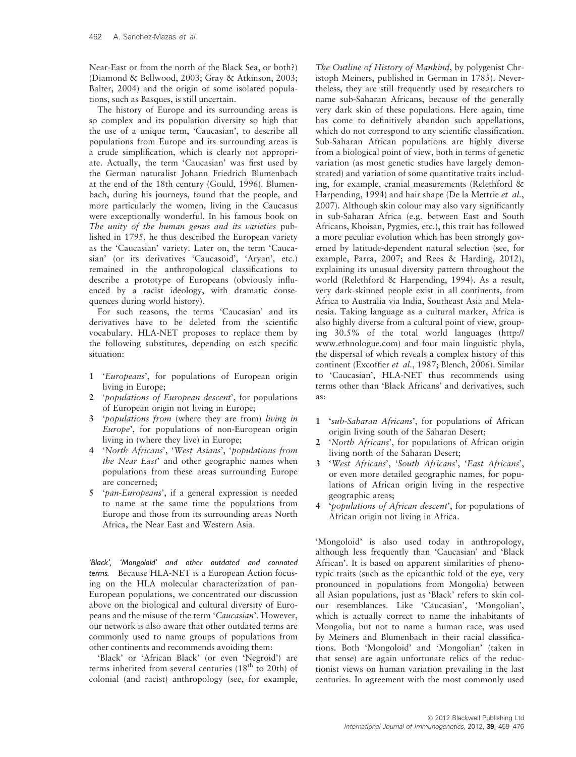Near-East or from the north of the Black Sea, or both?) (Diamond & Bellwood, 2003; Gray & Atkinson, 2003; Balter, 2004) and the origin of some isolated populations, such as Basques, is still uncertain.

The history of Europe and its surrounding areas is so complex and its population diversity so high that the use of a unique term, 'Caucasian', to describe all populations from Europe and its surrounding areas is a crude simplification, which is clearly not appropriate. Actually, the term 'Caucasian' was first used by the German naturalist Johann Friedrich Blumenbach at the end of the 18th century (Gould, 1996). Blumenbach, during his journeys, found that the people, and more particularly the women, living in the Caucasus were exceptionally wonderful. In his famous book on The unity of the human genus and its varieties published in 1795, he thus described the European variety as the 'Caucasian' variety. Later on, the term 'Caucasian' (or its derivatives 'Caucasoid', 'Aryan', etc.) remained in the anthropological classifications to describe a prototype of Europeans (obviously influenced by a racist ideology, with dramatic consequences during world history).

For such reasons, the terms 'Caucasian' and its derivatives have to be deleted from the scientific vocabulary. HLA-NET proposes to replace them by the following substitutes, depending on each specific situation:

- 1 'Europeans', for populations of European origin living in Europe;
- 2 *'populations of European descent'*, for populations of European origin not living in Europe;
- 3 'populations from (where they are from) living in Europe', for populations of non-European origin living in (where they live) in Europe;
- 4 'North Africans', 'West Asians', 'populations from the Near East' and other geographic names when populations from these areas surrounding Europe are concerned;
- 5 'pan-Europeans', if a general expression is needed to name at the same time the populations from Europe and those from its surrounding areas North Africa, the Near East and Western Asia.

'Black', 'Mongoloid' and other outdated and connoted terms. Because HLA-NET is a European Action focusing on the HLA molecular characterization of pan-European populations, we concentrated our discussion above on the biological and cultural diversity of Europeans and the misuse of the term 'Caucasian'. However, our network is also aware that other outdated terms are commonly used to name groups of populations from other continents and recommends avoiding them:

'Black' or 'African Black' (or even 'Negroid') are terms inherited from several centuries  $(18<sup>th</sup>$  to 20th) of colonial (and racist) anthropology (see, for example, The Outline of History of Mankind, by polygenist Christoph Meiners, published in German in 1785). Nevertheless, they are still frequently used by researchers to name sub-Saharan Africans, because of the generally very dark skin of these populations. Here again, time has come to definitively abandon such appellations, which do not correspond to any scientific classification. Sub-Saharan African populations are highly diverse from a biological point of view, both in terms of genetic variation (as most genetic studies have largely demonstrated) and variation of some quantitative traits including, for example, cranial measurements (Relethford & Harpending, 1994) and hair shape (De la Mettrie et al., 2007). Although skin colour may also vary significantly in sub-Saharan Africa (e.g. between East and South Africans, Khoisan, Pygmies, etc.), this trait has followed a more peculiar evolution which has been strongly governed by latitude-dependent natural selection (see, for example, Parra, 2007; and Rees & Harding, 2012), explaining its unusual diversity pattern throughout the world (Relethford & Harpending, 1994). As a result, very dark-skinned people exist in all continents, from Africa to Australia via India, Southeast Asia and Melanesia. Taking language as a cultural marker, Africa is also highly diverse from a cultural point of view, grouping 30.5% of the total world languages (http:// www.ethnologue.com) and four main linguistic phyla, the dispersal of which reveals a complex history of this continent (Excoffier et al., 1987; Blench, 2006). Similar to 'Caucasian', HLA-NET thus recommends using terms other than 'Black Africans' and derivatives, such as:

- 1 'sub-Saharan Africans', for populations of African origin living south of the Saharan Desert;
- 2 'North Africans', for populations of African origin living north of the Saharan Desert;
- 3 'West Africans', 'South Africans', 'East Africans', or even more detailed geographic names, for populations of African origin living in the respective geographic areas;
- 4 'populations of African descent', for populations of African origin not living in Africa.

'Mongoloid' is also used today in anthropology, although less frequently than 'Caucasian' and 'Black African'. It is based on apparent similarities of phenotypic traits (such as the epicanthic fold of the eye, very pronounced in populations from Mongolia) between all Asian populations, just as 'Black' refers to skin colour resemblances. Like 'Caucasian', 'Mongolian', which is actually correct to name the inhabitants of Mongolia, but not to name a human race, was used by Meiners and Blumenbach in their racial classifications. Both 'Mongoloid' and 'Mongolian' (taken in that sense) are again unfortunate relics of the reductionist views on human variation prevailing in the last centuries. In agreement with the most commonly used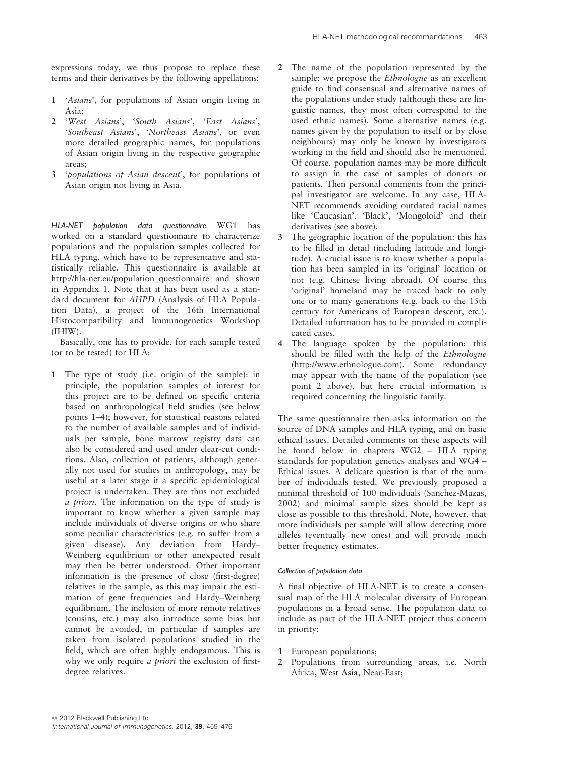expressions today, we thus propose to replace these terms and their derivatives by the following appellations:

- 1 'Asians', for populations of Asian origin living in Asia;
- 2 'West Asians', 'South Asians', 'East Asians', 'Southeast Asians', 'Northeast Asians', or even more detailed geographic names, for populations of Asian origin living in the respective geographic areas;
- 3 'populations of Asian descent', for populations of Asian origin not living in Asia.

HLA-NET population data questionnaire. WG1 has worked on a standard questionnaire to characterize populations and the population samples collected for HLA typing, which have to be representative and statistically reliable. This questionnaire is available at http://hla-net.eu/population\_questionnaire and shown in Appendix 1. Note that it has been used as a standard document for AHPD (Analysis of HLA Population Data), a project of the 16th International Histocompatibility and Immunogenetics Workshop (IHIW).

Basically, one has to provide, for each sample tested (or to be tested) for HLA:

1 The type of study (i.e. origin of the sample): in principle, the population samples of interest for this project are to be defined on specific criteria based on anthropological field studies (see below points 1–4); however, for statistical reasons related to the number of available samples and of individuals per sample, bone marrow registry data can also be considered and used under clear-cut conditions. Also, collection of patients, although generally not used for studies in anthropology, may be useful at a later stage if a specific epidemiological project is undertaken. They are thus not excluded a priori. The information on the type of study is important to know whether a given sample may include individuals of diverse origins or who share some peculiar characteristics (e.g. to suffer from a given disease). Any deviation from Hardy– Weinberg equilibrium or other unexpected result may then be better understood. Other important information is the presence of close (first-degree) relatives in the sample, as this may impair the estimation of gene frequencies and Hardy–Weinberg equilibrium. The inclusion of more remote relatives (cousins, etc.) may also introduce some bias but cannot be avoided, in particular if samples are taken from isolated populations studied in the field, which are often highly endogamous. This is why we only require *a priori* the exclusion of firstdegree relatives.

- 2 The name of the population represented by the sample: we propose the *Ethnologue* as an excellent guide to find consensual and alternative names of the populations under study (although these are linguistic names, they most often correspond to the used ethnic names). Some alternative names (e.g. names given by the population to itself or by close neighbours) may only be known by investigators working in the field and should also be mentioned. Of course, population names may be more difficult to assign in the case of samples of donors or patients. Then personal comments from the principal investigator are welcome. In any case, HLA-NET recommends avoiding outdated racial names like 'Caucasian', 'Black', 'Mongoloid' and their derivatives (see above).
- The geographic location of the population: this has to be filled in detail (including latitude and longitude). A crucial issue is to know whether a population has been sampled in its 'original' location or not (e.g. Chinese living abroad). Of course this 'original' homeland may be traced back to only one or to many generations (e.g. back to the 15th century for Americans of European descent, etc.). Detailed information has to be provided in complicated cases.
- 4 The language spoken by the population: this should be filled with the help of the Ethnologue (http://www.ethnologue.com). Some redundancy may appear with the name of the population (see point 2 above), but here crucial information is required concerning the linguistic family.

The same questionnaire then asks information on the source of DNA samples and HLA typing, and on basic ethical issues. Detailed comments on these aspects will be found below in chapters WG2 – HLA typing standards for population genetics analyses and WG4 – Ethical issues. A delicate question is that of the number of individuals tested. We previously proposed a minimal threshold of 100 individuals (Sanchez-Mazas, 2002) and minimal sample sizes should be kept as close as possible to this threshold. Note, however, that more individuals per sample will allow detecting more alleles (eventually new ones) and will provide much better frequency estimates.

#### Collection of population data

A final objective of HLA-NET is to create a consensual map of the HLA molecular diversity of European populations in a broad sense. The population data to include as part of the HLA-NET project thus concern in priority:

- 1 European populations;
- 2 Populations from surrounding areas, i.e. North Africa, West Asia, Near-East;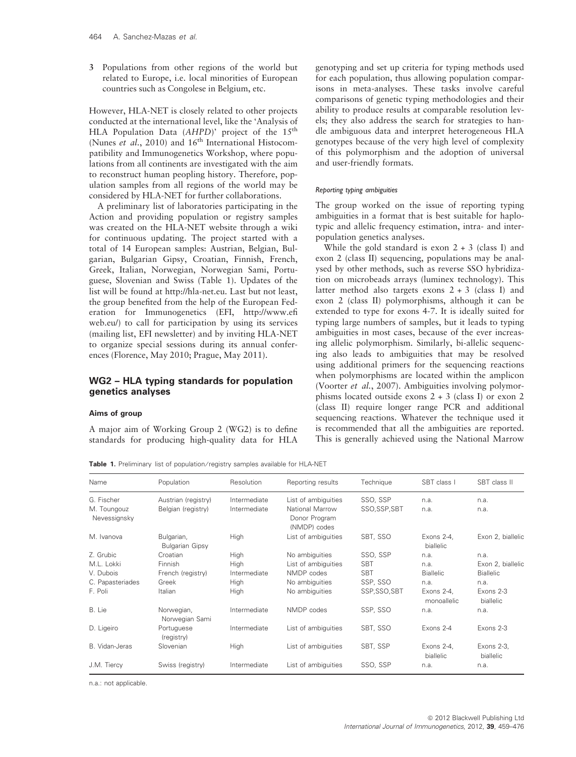3 Populations from other regions of the world but related to Europe, i.e. local minorities of European countries such as Congolese in Belgium, etc.

However, HLA-NET is closely related to other projects conducted at the international level, like the 'Analysis of HLA Population Data  $(AHPD)$ ' project of the 15<sup>th</sup> (Nunes et al., 2010) and  $16<sup>th</sup>$  International Histocompatibility and Immunogenetics Workshop, where populations from all continents are investigated with the aim to reconstruct human peopling history. Therefore, population samples from all regions of the world may be considered by HLA-NET for further collaborations.

A preliminary list of laboratories participating in the Action and providing population or registry samples was created on the HLA-NET website through a wiki for continuous updating. The project started with a total of 14 European samples: Austrian, Belgian, Bulgarian, Bulgarian Gipsy, Croatian, Finnish, French, Greek, Italian, Norwegian, Norwegian Sami, Portuguese, Slovenian and Swiss (Table 1). Updates of the list will be found at http://hla-net.eu. Last but not least, the group benefited from the help of the European Federation for Immunogenetics (EFI, http://www.efi web.eu/) to call for participation by using its services (mailing list, EFI newsletter) and by inviting HLA-NET to organize special sessions during its annual conferences (Florence, May 2010; Prague, May 2011).

# WG2 – HLA typing standards for population genetics analyses

#### Aims of group

A major aim of Working Group 2 (WG2) is to define standards for producing high-quality data for HLA

genotyping and set up criteria for typing methods used for each population, thus allowing population comparisons in meta-analyses. These tasks involve careful comparisons of genetic typing methodologies and their ability to produce results at comparable resolution levels; they also address the search for strategies to handle ambiguous data and interpret heterogeneous HLA genotypes because of the very high level of complexity of this polymorphism and the adoption of universal and user-friendly formats.

#### Reporting typing ambiguities

The group worked on the issue of reporting typing ambiguities in a format that is best suitable for haplotypic and allelic frequency estimation, intra- and interpopulation genetics analyses.

While the gold standard is exon  $2 + 3$  (class I) and exon 2 (class II) sequencing, populations may be analysed by other methods, such as reverse SSO hybridization on microbeads arrays (luminex technology). This latter method also targets exons  $2 + 3$  (class I) and exon 2 (class II) polymorphisms, although it can be extended to type for exons 4-7. It is ideally suited for typing large numbers of samples, but it leads to typing ambiguities in most cases, because of the ever increasing allelic polymorphism. Similarly, bi-allelic sequencing also leads to ambiguities that may be resolved using additional primers for the sequencing reactions when polymorphisms are located within the amplicon (Voorter et al., 2007). Ambiguities involving polymorphisms located outside exons 2 + 3 (class I) or exon 2 (class II) require longer range PCR and additional sequencing reactions. Whatever the technique used it is recommended that all the ambiguities are reported. This is generally achieved using the National Marrow

Table 1. Preliminary list of population/registry samples available for HLA-NET

| Name                        | Population                           | Resolution   | Reporting results                                | Technique     | SBT class I               | SBT class II            |
|-----------------------------|--------------------------------------|--------------|--------------------------------------------------|---------------|---------------------------|-------------------------|
| G. Fischer                  | Austrian (registry)                  | Intermediate | List of ambiguities                              | SSO, SSP      | n.a.                      | n.a.                    |
| M. Toungouz<br>Nevessignsky | Belgian (registry)                   | Intermediate | National Marrow<br>Donor Program<br>(NMDP) codes | SSO, SSP, SBT | n.a.                      | n.a.                    |
| M. Ivanova                  | Bulgarian,<br><b>Bulgarian Gipsy</b> | High         | List of ambiguities                              | SBT, SSO      | Exons 2-4,<br>biallelic   | Exon 2, biallelic       |
| Z. Grubic                   | Croatian                             | High         | No ambiguities                                   | SSO, SSP      | n.a.                      | n.a.                    |
| M.L. Lokki                  | Finnish                              | High         | List of ambiguities                              | <b>SBT</b>    | n.a.                      | Exon 2, biallelic       |
| V. Dubois                   | French (registry)                    | Intermediate | NMDP codes                                       | <b>SBT</b>    | <b>Biallelic</b>          | <b>Biallelic</b>        |
| C. Papasteriades            | Greek                                | High         | No ambiguities                                   | SSP, SSO      | n.a.                      | n.a.                    |
| F. Poli                     | Italian                              | High         | No ambiguities                                   | SSP, SSO, SBT | Exons 2-4,<br>monoallelic | Exons 2-3<br>biallelic  |
| B. Lie                      | Norwegian,<br>Norwegian Sami         | Intermediate | NMDP codes                                       | SSP, SSO      | n.a.                      | n.a.                    |
| D. Ligeiro                  | Portuguese<br>(registry)             | Intermediate | List of ambiguities                              | SBT, SSO      | Exons 2-4                 | Exons 2-3               |
| B. Vidan-Jeras              | Slovenian                            | High         | List of ambiguities                              | SBT, SSP      | Exons 2-4,<br>biallelic   | Exons 2-3,<br>biallelic |
| J.M. Tiercy                 | Swiss (registry)                     | Intermediate | List of ambiguities                              | SSO, SSP      | n.a.                      | n.a.                    |

n.a.: not applicable.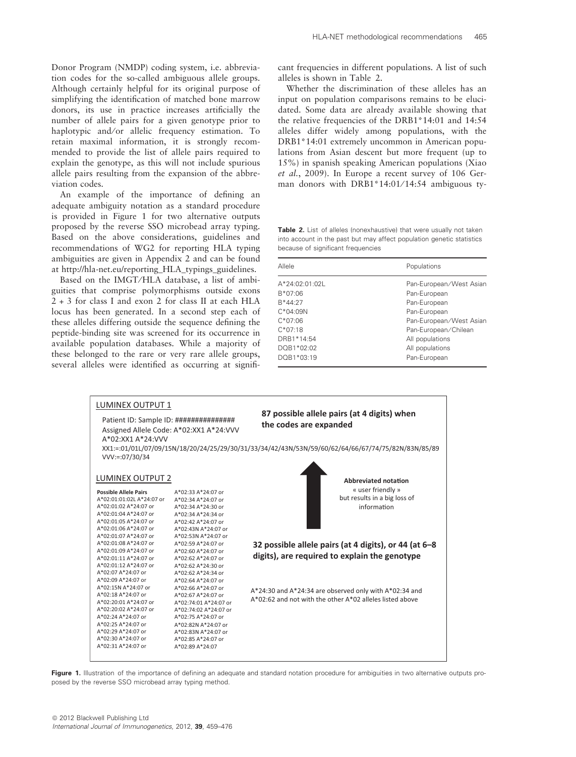Donor Program (NMDP) coding system, i.e. abbreviation codes for the so-called ambiguous allele groups. Although certainly helpful for its original purpose of simplifying the identification of matched bone marrow donors, its use in practice increases artificially the number of allele pairs for a given genotype prior to haplotypic and/or allelic frequency estimation. To retain maximal information, it is strongly recommended to provide the list of allele pairs required to explain the genotype, as this will not include spurious allele pairs resulting from the expansion of the abbreviation codes.

An example of the importance of defining an adequate ambiguity notation as a standard procedure is provided in Figure 1 for two alternative outputs proposed by the reverse SSO microbead array typing. Based on the above considerations, guidelines and recommendations of WG2 for reporting HLA typing ambiguities are given in Appendix 2 and can be found at http://hla-net.eu/reporting\_HLA\_typings\_guidelines.

Based on the IMGT⁄ HLA database, a list of ambiguities that comprise polymorphisms outside exons 2 + 3 for class I and exon 2 for class II at each HLA locus has been generated. In a second step each of these alleles differing outside the sequence defining the peptide-binding site was screened for its occurrence in available population databases. While a majority of these belonged to the rare or very rare allele groups, several alleles were identified as occurring at significant frequencies in different populations. A list of such alleles is shown in Table 2.

Whether the discrimination of these alleles has an input on population comparisons remains to be elucidated. Some data are already available showing that the relative frequencies of the DRB1\*14:01 and 14:54 alleles differ widely among populations, with the DRB1\*14:01 extremely uncommon in American populations from Asian descent but more frequent (up to 15%) in spanish speaking American populations (Xiao et al., 2009). In Europe a recent survey of 106 German donors with DRB1\*14:01/14:54 ambiguous ty-

Table 2. List of alleles (nonexhaustive) that were usually not taken into account in the past but may affect population genetic statistics because of significant frequencies

| Allele                                                                                                                      | Populations                                                                                                                                                                      |
|-----------------------------------------------------------------------------------------------------------------------------|----------------------------------------------------------------------------------------------------------------------------------------------------------------------------------|
| $A*24:02:01:02$<br>$B*07:06$<br>$B*44:27$<br>$C*04:09N$<br>$C*07:06$<br>$C*07:18$<br>DRB1*14:54<br>DOB1*02:02<br>DOB1*03:19 | Pan-European/West Asian<br>Pan-European<br>Pan-European<br>Pan-European<br>Pan-European/West Asian<br>Pan-European/Chilean<br>All populations<br>All populations<br>Pan-European |
|                                                                                                                             |                                                                                                                                                                                  |



Figure 1. Illustration of the importance of defining an adequate and standard notation procedure for ambiguities in two alternative outputs proposed by the reverse SSO microbead array typing method.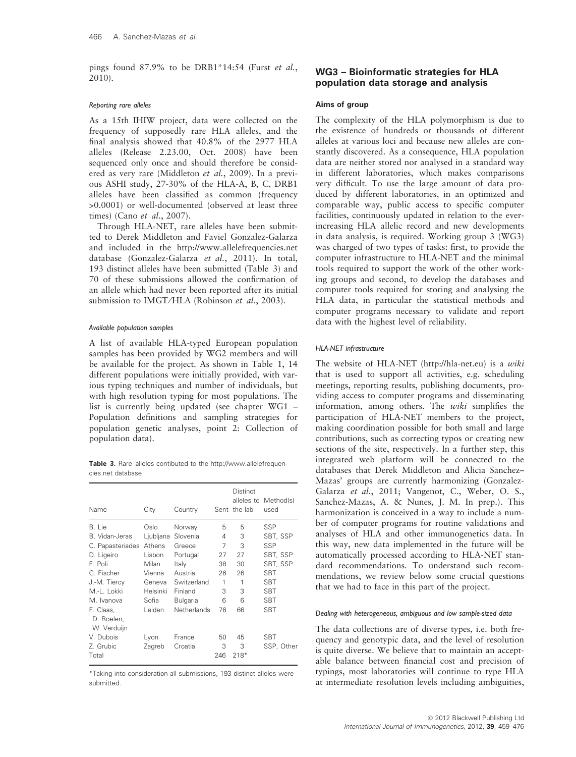pings found 87.9% to be DRB1\*14:54 (Furst et al., 2010).

#### Reporting rare alleles

As a 15th IHIW project, data were collected on the frequency of supposedly rare HLA alleles, and the final analysis showed that 40.8% of the 2977 HLA alleles (Release 2.23.00, Oct. 2008) have been sequenced only once and should therefore be considered as very rare (Middleton et al., 2009). In a previous ASHI study, 27-30% of the HLA-A, B, C, DRB1 alleles have been classified as common (frequency >0.0001) or well-documented (observed at least three times) (Cano et al., 2007).

Through HLA-NET, rare alleles have been submitted to Derek Middleton and Faviel Gonzalez-Galarza and included in the http://www.allelefrequencies.net database (Gonzalez-Galarza et al., 2011). In total, 193 distinct alleles have been submitted (Table 3) and 70 of these submissions allowed the confirmation of an allele which had never been reported after its initial submission to IMGT/HLA (Robinson et al., 2003).

#### Available population samples

A list of available HLA-typed European population samples has been provided by WG2 members and will be available for the project. As shown in Table 1, 14 different populations were initially provided, with various typing techniques and number of individuals, but with high resolution typing for most populations. The list is currently being updated (see chapter WG1 – Population definitions and sampling strategies for population genetic analyses, point 2: Collection of population data).

Table 3. Rare alleles contibuted to the http://www.allelefrequencies.net database

| Name                                   | City      | Country     |          | <b>Distinct</b><br>alleles to<br>Sent the lab | Method(s)<br>used |
|----------------------------------------|-----------|-------------|----------|-----------------------------------------------|-------------------|
| B. Lie                                 | Oslo      | Norway      | 5        | 5                                             | <b>SSP</b>        |
| B. Vidan-Jeras                         | Ljubljana | Slovenia    | 4        | 3                                             | SBT, SSP          |
| C. Papasteriades                       | Athens    | Greece      | 7        | 3                                             | <b>SSP</b>        |
| D. Ligeiro                             | Lisbon    | Portugal    | 27       | 27                                            | SBT, SSP          |
| F. Poli                                | Milan     | Italy       | 38       | 30                                            | SBT, SSP          |
| G. Fischer                             | Vienna    | Austria     | 26       | 26                                            | <b>SBT</b>        |
| J.-M. Tiercy                           | Geneva    | Switzerland | 1        | 1                                             | <b>SBT</b>        |
| M.-L. Lokki                            | Helsinki  | Finland     | 3        | 3                                             | <b>SBT</b>        |
| M. Ivanova                             | Sofia     | Bulgaria    | 6        | 6                                             | <b>SBT</b>        |
| F. Claas.<br>D. Roelen.<br>W. Verduijn | Leiden    | Netherlands | 76       | 66                                            | <b>SBT</b>        |
| V. Dubois                              | Lyon      | France      | 50       | 45                                            | <b>SBT</b>        |
| Z. Grubic<br>Total                     | Zagreb    | Croatia     | 3<br>246 | 3<br>218*                                     | SSP, Other        |

\*Taking into consideration all submissions, 193 distinct alleles were submitted.

# WG3 – Bioinformatic strategies for HLA population data storage and analysis

#### Aims of group

The complexity of the HLA polymorphism is due to the existence of hundreds or thousands of different alleles at various loci and because new alleles are constantly discovered. As a consequence, HLA population data are neither stored nor analysed in a standard way in different laboratories, which makes comparisons very difficult. To use the large amount of data produced by different laboratories, in an optimized and comparable way, public access to specific computer facilities, continuously updated in relation to the everincreasing HLA allelic record and new developments in data analysis, is required. Working group 3 (WG3) was charged of two types of tasks: first, to provide the computer infrastructure to HLA-NET and the minimal tools required to support the work of the other working groups and second, to develop the databases and computer tools required for storing and analysing the HLA data, in particular the statistical methods and computer programs necessary to validate and report data with the highest level of reliability.

#### HLA-NET infrastructure

The website of HLA-NET (http://hla-net.eu) is a wiki that is used to support all activities, e.g. scheduling meetings, reporting results, publishing documents, providing access to computer programs and disseminating information, among others. The *wiki* simplifies the participation of HLA-NET members to the project, making coordination possible for both small and large contributions, such as correcting typos or creating new sections of the site, respectively. In a further step, this integrated web platform will be connected to the databases that Derek Middleton and Alicia Sanchez– Mazas' groups are currently harmonizing (Gonzalez-Galarza et al., 2011; Vangenot, C., Weber, O. S., Sanchez-Mazas, A. & Nunes, J. M. In prep.). This harmonization is conceived in a way to include a number of computer programs for routine validations and analyses of HLA and other immunogenetics data. In this way, new data implemented in the future will be automatically processed according to HLA-NET standard recommendations. To understand such recommendations, we review below some crucial questions that we had to face in this part of the project.

#### Dealing with heterogeneous, ambiguous and low sample-sized data

The data collections are of diverse types, i.e. both frequency and genotypic data, and the level of resolution is quite diverse. We believe that to maintain an acceptable balance between financial cost and precision of typings, most laboratories will continue to type HLA at intermediate resolution levels including ambiguities,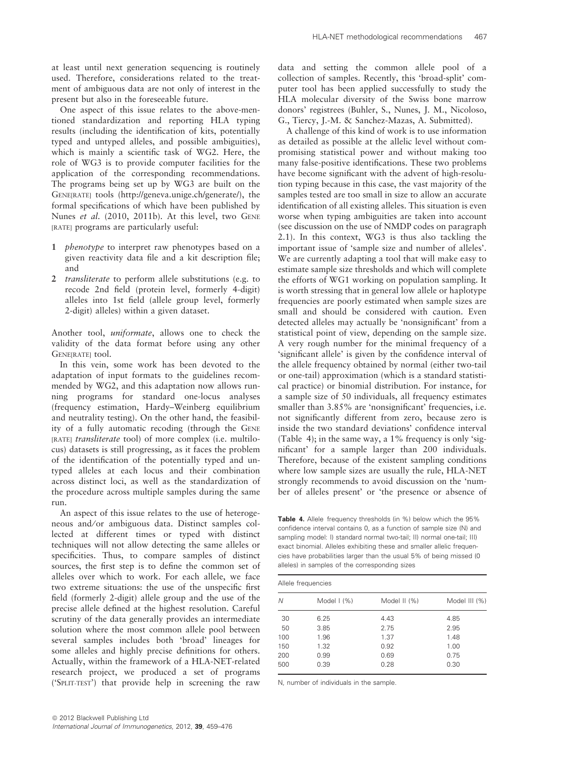at least until next generation sequencing is routinely used. Therefore, considerations related to the treatment of ambiguous data are not only of interest in the present but also in the foreseeable future.

One aspect of this issue relates to the above-mentioned standardization and reporting HLA typing results (including the identification of kits, potentially typed and untyped alleles, and possible ambiguities), which is mainly a scientific task of WG2. Here, the role of WG3 is to provide computer facilities for the application of the corresponding recommendations. The programs being set up by WG3 are built on the GENE[RATE] tools (http://geneva.unige.ch/generate/), the formal specifications of which have been published by Nunes et al. (2010, 2011b). At this level, two GENE [RATE] programs are particularly useful:

- 1 *phenotype* to interpret raw phenotypes based on a given reactivity data file and a kit description file; and
- 2 *transliterate* to perform allele substitutions (e.g. to recode 2nd field (protein level, formerly 4-digit) alleles into 1st field (allele group level, formerly 2-digit) alleles) within a given dataset.

Another tool, uniformate, allows one to check the validity of the data format before using any other GENE[RATE] tool.

In this vein, some work has been devoted to the adaptation of input formats to the guidelines recommended by WG2, and this adaptation now allows running programs for standard one-locus analyses (frequency estimation, Hardy–Weinberg equilibrium and neutrality testing). On the other hand, the feasibility of a fully automatic recoding (through the GENE [RATE] transliterate tool) of more complex (i.e. multilocus) datasets is still progressing, as it faces the problem of the identification of the potentially typed and untyped alleles at each locus and their combination across distinct loci, as well as the standardization of the procedure across multiple samples during the same run.

An aspect of this issue relates to the use of heterogeneous and/or ambiguous data. Distinct samples collected at different times or typed with distinct techniques will not allow detecting the same alleles or specificities. Thus, to compare samples of distinct sources, the first step is to define the common set of alleles over which to work. For each allele, we face two extreme situations: the use of the unspecific first field (formerly 2-digit) allele group and the use of the precise allele defined at the highest resolution. Careful scrutiny of the data generally provides an intermediate solution where the most common allele pool between several samples includes both 'broad' lineages for some alleles and highly precise definitions for others. Actually, within the framework of a HLA-NET-related research project, we produced a set of programs ('SPLIT-TEST') that provide help in screening the raw data and setting the common allele pool of a collection of samples. Recently, this 'broad-split' computer tool has been applied successfully to study the HLA molecular diversity of the Swiss bone marrow donors' registrees (Buhler, S., Nunes, J. M., Nicoloso, G., Tiercy, J.-M. & Sanchez-Mazas, A. Submitted).

A challenge of this kind of work is to use information as detailed as possible at the allelic level without compromising statistical power and without making too many false-positive identifications. These two problems have become significant with the advent of high-resolution typing because in this case, the vast majority of the samples tested are too small in size to allow an accurate identification of all existing alleles. This situation is even worse when typing ambiguities are taken into account (see discussion on the use of NMDP codes on paragraph 2.1). In this context, WG3 is thus also tackling the important issue of 'sample size and number of alleles'. We are currently adapting a tool that will make easy to estimate sample size thresholds and which will complete the efforts of WG1 working on population sampling. It is worth stressing that in general low allele or haplotype frequencies are poorly estimated when sample sizes are small and should be considered with caution. Even detected alleles may actually be 'nonsignificant' from a statistical point of view, depending on the sample size. A very rough number for the minimal frequency of a 'significant allele' is given by the confidence interval of the allele frequency obtained by normal (either two-tail or one-tail) approximation (which is a standard statistical practice) or binomial distribution. For instance, for a sample size of 50 individuals, all frequency estimates smaller than 3.85% are 'nonsignificant' frequencies, i.e. not significantly different from zero, because zero is inside the two standard deviations' confidence interval (Table 4); in the same way, a 1% frequency is only 'significant' for a sample larger than 200 individuals. Therefore, because of the existent sampling conditions where low sample sizes are usually the rule, HLA-NET strongly recommends to avoid discussion on the 'number of alleles present' or 'the presence or absence of

Table 4. Allele frequency thresholds (in %) below which the 95% confidence interval contains 0, as a function of sample size (N) and sampling model: I) standard normal two-tail; II) normal one-tail; III) exact binomial. Alleles exhibiting these and smaller allelic frequencies have probabilities larger than the usual 5% of being missed (0 alleles) in samples of the corresponding sizes

| Allele frequencies |                  |                   |               |  |  |
|--------------------|------------------|-------------------|---------------|--|--|
| Ν                  | Model $($ $\%$ ) | Model $  $ $(\%)$ | Model III (%) |  |  |
| 30                 | 6.25             | 4.43              | 4.85          |  |  |
| 50                 | 3.85             | 2.75              | 2.95          |  |  |
| 100                | 1.96             | 1.37              | 1.48          |  |  |
| 150                | 1.32             | 0.92              | 1.00          |  |  |
| 200                | 0.99             | 0.69              | 0.75          |  |  |
| 500                | 0.39             | 0.28              | 0.30          |  |  |

N, number of individuals in the sample.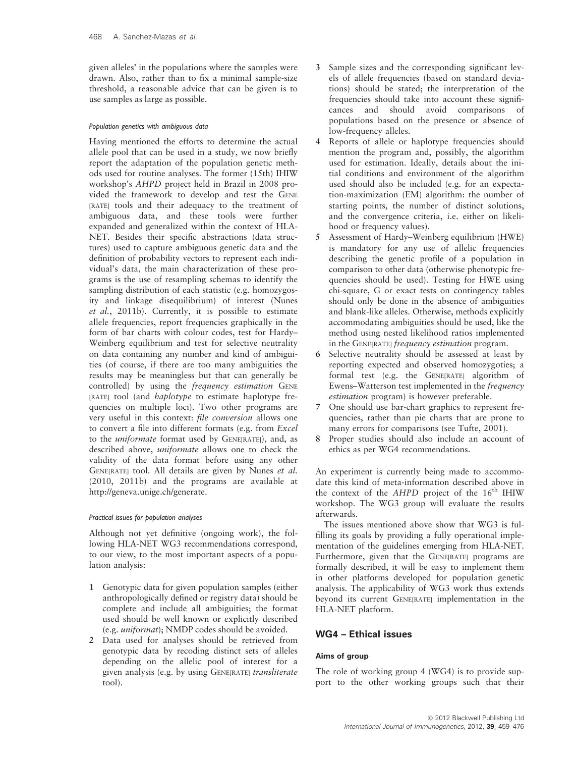given alleles' in the populations where the samples were drawn. Also, rather than to fix a minimal sample-size threshold, a reasonable advice that can be given is to use samples as large as possible.

#### Population genetics with ambiguous data

Having mentioned the efforts to determine the actual allele pool that can be used in a study, we now briefly report the adaptation of the population genetic methods used for routine analyses. The former (15th) IHIW workshop's AHPD project held in Brazil in 2008 provided the framework to develop and test the GENE [RATE] tools and their adequacy to the treatment of ambiguous data, and these tools were further expanded and generalized within the context of HLA-NET. Besides their specific abstractions (data structures) used to capture ambiguous genetic data and the definition of probability vectors to represent each individual's data, the main characterization of these programs is the use of resampling schemas to identify the sampling distribution of each statistic (e.g. homozygosity and linkage disequilibrium) of interest (Nunes et al., 2011b). Currently, it is possible to estimate allele frequencies, report frequencies graphically in the form of bar charts with colour codes, test for Hardy– Weinberg equilibrium and test for selective neutrality on data containing any number and kind of ambiguities (of course, if there are too many ambiguities the results may be meaningless but that can generally be controlled) by using the *frequency estimation* GENE [RATE] tool (and *haplotype* to estimate haplotype frequencies on multiple loci). Two other programs are very useful in this context: file conversion allows one to convert a file into different formats (e.g. from Excel to the uniformate format used by GENE[RATE]), and, as described above, uniformate allows one to check the validity of the data format before using any other GENE[RATE] tool. All details are given by Nunes et al. (2010, 2011b) and the programs are available at http://geneva.unige.ch/generate.

#### Practical issues for population analyses

Although not yet definitive (ongoing work), the following HLA-NET WG3 recommendations correspond, to our view, to the most important aspects of a population analysis:

- 1 Genotypic data for given population samples (either anthropologically defined or registry data) should be complete and include all ambiguities; the format used should be well known or explicitly described (e.g. uniformat); NMDP codes should be avoided.
- 2 Data used for analyses should be retrieved from genotypic data by recoding distinct sets of alleles depending on the allelic pool of interest for a given analysis (e.g. by using GENE[RATE] transliterate tool).
- 3 Sample sizes and the corresponding significant levels of allele frequencies (based on standard deviations) should be stated; the interpretation of the frequencies should take into account these significances and should avoid comparisons of populations based on the presence or absence of low-frequency alleles.
- 4 Reports of allele or haplotype frequencies should mention the program and, possibly, the algorithm used for estimation. Ideally, details about the initial conditions and environment of the algorithm used should also be included (e.g. for an expectation-maximization (EM) algorithm: the number of starting points, the number of distinct solutions, and the convergence criteria, i.e. either on likelihood or frequency values).
- 5 Assessment of Hardy–Weinberg equilibrium (HWE) is mandatory for any use of allelic frequencies describing the genetic profile of a population in comparison to other data (otherwise phenotypic frequencies should be used). Testing for HWE using chi-square, G or exact tests on contingency tables should only be done in the absence of ambiguities and blank-like alleles. Otherwise, methods explicitly accommodating ambiguities should be used, like the method using nested likelihood ratios implemented in the GENE[RATE] frequency estimation program.
- 6 Selective neutrality should be assessed at least by reporting expected and observed homozygoties; a formal test (e.g. the GENE[RATE] algorithm of Ewens–Watterson test implemented in the frequency estimation program) is however preferable.
- 7 One should use bar-chart graphics to represent frequencies, rather than pie charts that are prone to many errors for comparisons (see Tufte, 2001).
- Proper studies should also include an account of ethics as per WG4 recommendations.

An experiment is currently being made to accommodate this kind of meta-information described above in the context of the  $AHPD$  project of the  $16<sup>th</sup>$  IHIW workshop. The WG3 group will evaluate the results afterwards.

The issues mentioned above show that WG3 is fulfilling its goals by providing a fully operational implementation of the guidelines emerging from HLA-NET. Furthermore, given that the GENE[RATE] programs are formally described, it will be easy to implement them in other platforms developed for population genetic analysis. The applicability of WG3 work thus extends beyond its current GENE[RATE] implementation in the HLA-NET platform.

# WG4 – Ethical issues

# Aims of group

The role of working group 4 (WG4) is to provide support to the other working groups such that their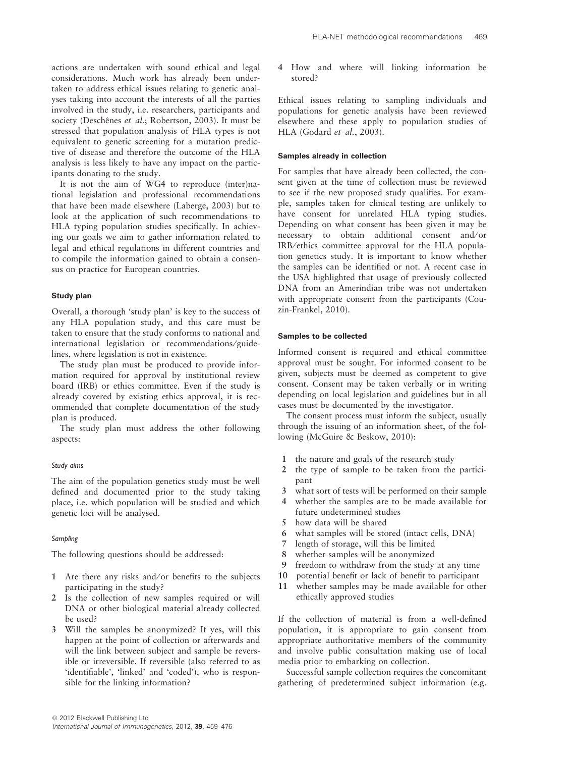actions are undertaken with sound ethical and legal considerations. Much work has already been undertaken to address ethical issues relating to genetic analyses taking into account the interests of all the parties involved in the study, i.e. researchers, participants and society (Deschênes et al.; Robertson, 2003). It must be stressed that population analysis of HLA types is not equivalent to genetic screening for a mutation predictive of disease and therefore the outcome of the HLA analysis is less likely to have any impact on the participants donating to the study.

It is not the aim of WG4 to reproduce (inter)national legislation and professional recommendations that have been made elsewhere (Laberge, 2003) but to look at the application of such recommendations to HLA typing population studies specifically. In achieving our goals we aim to gather information related to legal and ethical regulations in different countries and to compile the information gained to obtain a consensus on practice for European countries.

#### Study plan

Overall, a thorough 'study plan' is key to the success of any HLA population study, and this care must be taken to ensure that the study conforms to national and international legislation or recommendations⁄ guidelines, where legislation is not in existence.

The study plan must be produced to provide information required for approval by institutional review board (IRB) or ethics committee. Even if the study is already covered by existing ethics approval, it is recommended that complete documentation of the study plan is produced.

The study plan must address the other following aspects:

#### Study aims

The aim of the population genetics study must be well defined and documented prior to the study taking place, i.e. which population will be studied and which genetic loci will be analysed.

#### Sampling

The following questions should be addressed:

- 1 Are there any risks and/or benefits to the subjects participating in the study?
- 2 Is the collection of new samples required or will DNA or other biological material already collected be used?
- 3 Will the samples be anonymized? If yes, will this happen at the point of collection or afterwards and will the link between subject and sample be reversible or irreversible. If reversible (also referred to as 'identifiable', 'linked' and 'coded'), who is responsible for the linking information?

4 How and where will linking information be stored?

Ethical issues relating to sampling individuals and populations for genetic analysis have been reviewed elsewhere and these apply to population studies of HLA (Godard et al., 2003).

#### Samples already in collection

For samples that have already been collected, the consent given at the time of collection must be reviewed to see if the new proposed study qualifies. For example, samples taken for clinical testing are unlikely to have consent for unrelated HLA typing studies. Depending on what consent has been given it may be necessary to obtain additional consent and/or IRB ⁄ ethics committee approval for the HLA population genetics study. It is important to know whether the samples can be identified or not. A recent case in the USA highlighted that usage of previously collected DNA from an Amerindian tribe was not undertaken with appropriate consent from the participants (Couzin-Frankel, 2010).

### Samples to be collected

Informed consent is required and ethical committee approval must be sought. For informed consent to be given, subjects must be deemed as competent to give consent. Consent may be taken verbally or in writing depending on local legislation and guidelines but in all cases must be documented by the investigator.

The consent process must inform the subject, usually through the issuing of an information sheet, of the following (McGuire & Beskow, 2010):

- 1 the nature and goals of the research study
- 2 the type of sample to be taken from the participant
- 3 what sort of tests will be performed on their sample
- whether the samples are to be made available for future undetermined studies
- 5 how data will be shared
- 6 what samples will be stored (intact cells, DNA)
- 7 length of storage, will this be limited
- 8 whether samples will be anonymized
- 9 freedom to withdraw from the study at any time
- 10 potential benefit or lack of benefit to participant
- 11 whether samples may be made available for other ethically approved studies

If the collection of material is from a well-defined population, it is appropriate to gain consent from appropriate authoritative members of the community and involve public consultation making use of local media prior to embarking on collection.

Successful sample collection requires the concomitant gathering of predetermined subject information (e.g.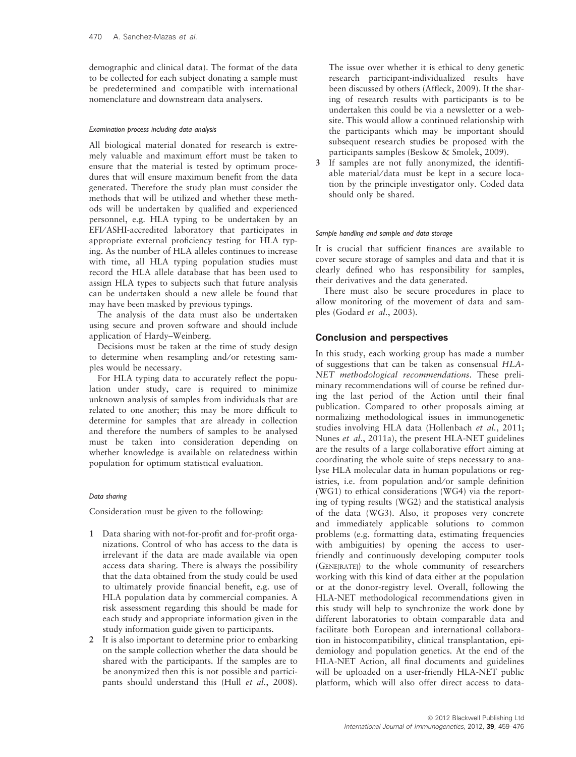demographic and clinical data). The format of the data to be collected for each subject donating a sample must be predetermined and compatible with international nomenclature and downstream data analysers.

#### Examination process including data analysis

All biological material donated for research is extremely valuable and maximum effort must be taken to ensure that the material is tested by optimum procedures that will ensure maximum benefit from the data generated. Therefore the study plan must consider the methods that will be utilized and whether these methods will be undertaken by qualified and experienced personnel, e.g. HLA typing to be undertaken by an EFI⁄ ASHI-accredited laboratory that participates in appropriate external proficiency testing for HLA typing. As the number of HLA alleles continues to increase with time, all HLA typing population studies must record the HLA allele database that has been used to assign HLA types to subjects such that future analysis can be undertaken should a new allele be found that may have been masked by previous typings.

The analysis of the data must also be undertaken using secure and proven software and should include application of Hardy–Weinberg.

Decisions must be taken at the time of study design to determine when resampling and/or retesting samples would be necessary.

For HLA typing data to accurately reflect the population under study, care is required to minimize unknown analysis of samples from individuals that are related to one another; this may be more difficult to determine for samples that are already in collection and therefore the numbers of samples to be analysed must be taken into consideration depending on whether knowledge is available on relatedness within population for optimum statistical evaluation.

#### Data sharing

Consideration must be given to the following:

- 1 Data sharing with not-for-profit and for-profit organizations. Control of who has access to the data is irrelevant if the data are made available via open access data sharing. There is always the possibility that the data obtained from the study could be used to ultimately provide financial benefit, e.g. use of HLA population data by commercial companies. A risk assessment regarding this should be made for each study and appropriate information given in the study information guide given to participants.
- 2 It is also important to determine prior to embarking on the sample collection whether the data should be shared with the participants. If the samples are to be anonymized then this is not possible and participants should understand this (Hull et al., 2008).

The issue over whether it is ethical to deny genetic research participant-individualized results have been discussed by others (Affleck, 2009). If the sharing of research results with participants is to be undertaken this could be via a newsletter or a website. This would allow a continued relationship with the participants which may be important should subsequent research studies be proposed with the participants samples (Beskow & Smolek, 2009).

3 If samples are not fully anonymized, the identifiable material/data must be kept in a secure location by the principle investigator only. Coded data should only be shared.

#### Sample handling and sample and data storage

It is crucial that sufficient finances are available to cover secure storage of samples and data and that it is clearly defined who has responsibility for samples, their derivatives and the data generated.

There must also be secure procedures in place to allow monitoring of the movement of data and samples (Godard et al., 2003).

# Conclusion and perspectives

In this study, each working group has made a number of suggestions that can be taken as consensual HLA-NET methodological recommendations. These preliminary recommendations will of course be refined during the last period of the Action until their final publication. Compared to other proposals aiming at normalizing methodological issues in immunogenetic studies involving HLA data (Hollenbach et al., 2011; Nunes et al., 2011a), the present HLA-NET guidelines are the results of a large collaborative effort aiming at coordinating the whole suite of steps necessary to analyse HLA molecular data in human populations or registries, i.e. from population and/or sample definition (WG1) to ethical considerations (WG4) via the reporting of typing results (WG2) and the statistical analysis of the data (WG3). Also, it proposes very concrete and immediately applicable solutions to common problems (e.g. formatting data, estimating frequencies with ambiguities) by opening the access to userfriendly and continuously developing computer tools (GENE[RATE]) to the whole community of researchers working with this kind of data either at the population or at the donor-registry level. Overall, following the HLA-NET methodological recommendations given in this study will help to synchronize the work done by different laboratories to obtain comparable data and facilitate both European and international collaboration in histocompatibility, clinical transplantation, epidemiology and population genetics. At the end of the HLA-NET Action, all final documents and guidelines will be uploaded on a user-friendly HLA-NET public platform, which will also offer direct access to data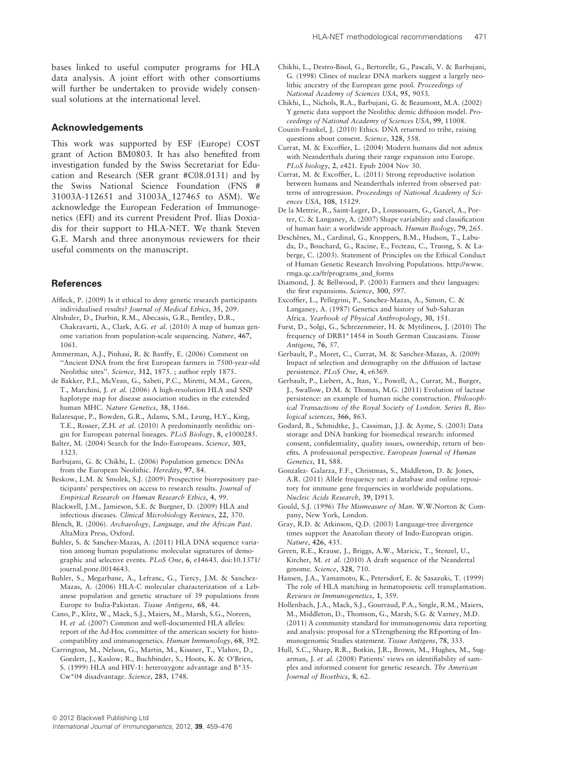bases linked to useful computer programs for HLA data analysis. A joint effort with other consortiums will further be undertaken to provide widely consensual solutions at the international level.

#### Acknowledgements

This work was supported by ESF (Europe) COST grant of Action BM0803. It has also benefited from investigation funded by the Swiss Secretariat for Education and Research (SER grant #C08.0131) and by the Swiss National Science Foundation (FNS # 31003A-112651 and 31003A\_127465 to ASM). We acknowledge the European Federation of Immunogenetics (EFI) and its current President Prof. Ilias Doxiadis for their support to HLA-NET. We thank Steven G.E. Marsh and three anonymous reviewers for their useful comments on the manuscript.

# **References**

- Affleck, P. (2009) Is it ethical to deny genetic research participants individualised results? Journal of Medical Ethics, 35, 209.
- Altshuler, D., Durbin, R.M., Abecasis, G.R., Bentley, D.R., Chakravarti, A., Clark, A.G. et al. (2010) A map of human genome variation from population-scale sequencing. Nature, 467, 1061.
- Ammerman, A.J., Pinhasi, R. & Banffy, E. (2006) Comment on ''Ancient DNA from the first European farmers in 7500-year-old Neolithic sites''. Science, 312, 1875. ; author reply 1875.
- de Bakker, P.I., McVean, G., Sabeti, P.C., Miretti, M.M., Green, T., Marchini, J. et al. (2006) A high-resolution HLA and SNP haplotype map for disease association studies in the extended human MHC. Nature Genetics, 38, 1166.
- Balaresque, P., Bowden, G.R., Adams, S.M., Leung, H.Y., King, T.E., Rosser, Z.H. et al. (2010) A predominantly neolithic origin for European paternal lineages. PLoS Biology, 8, e1000285.
- Balter, M. (2004) Search for the Indo-Europeans. Science, 303, 1323.
- Barbujani, G. & Chikhi, L. (2006) Population genetics: DNAs from the European Neolithic. Heredity, 97, 84.
- Beskow, L.M. & Smolek, S.J. (2009) Prospective biorepository participants' perspectives on access to research results. Journal of Empirical Research on Human Research Ethics, 4, 99.
- Blackwell, J.M., Jamieson, S.E. & Burgner, D. (2009) HLA and infectious diseases. Clinical Microbiology Reviews, 22, 370.
- Blench, R. (2006). Archaeology, Language, and the African Past. AltaMira Press, Oxford.
- Buhler, S. & Sanchez-Mazas, A. (2011) HLA DNA sequence variation among human populations: molecular signatures of demographic and selective events. PLoS One, 6, e14643. doi:10.1371/ journal.pone.0014643.
- Buhler, S., Megarbane, A., Lefranc, G., Tiercy, J.M. & Sanchez-Mazas, A. (2006) HLA-C molecular characterization of a Lebanese population and genetic structure of 39 populations from Europe to India-Pakistan. Tissue Antigens, 68, 44.
- Cano, P., Klitz, W., Mack, S.J., Maiers, M., Marsh, S.G., Noreen, H. et al. (2007) Common and well-documented HLA alleles: report of the Ad-Hoc committee of the american society for histocompatiblity and immunogenetics. Human Immunology, 68, 392.
- Carrington, M., Nelson, G., Martin, M., Kissner, T., Vlahov, D., Goedert, J., Kaslow, R., Buchbinder, S., Hoots, K. & O'Brien, S. (1999) HLA and HIV-1: heterozygote advantage and B\*35- Cw\*04 disadvantage. Science, 283, 1748.
- Chikhi, L., Destro-Bisol, G., Bertorelle, G., Pascali, V. & Barbujani, G. (1998) Clines of nuclear DNA markers suggest a largely neolithic ancestry of the European gene pool. Proceedings of National Academy of Sciences USA, 95, 9053.
- Chikhi, L., Nichols, R.A., Barbujani, G. & Beaumont, M.A. (2002) Y genetic data support the Neolithic demic diffusion model. Proceedings of National Academy of Sciences USA, 99, 11008.
- Couzin-Frankel, J. (2010) Ethics. DNA returned to tribe, raising questions about consent. Science, 328, 558.
- Currat, M. & Excoffier, L. (2004) Modern humans did not admix with Neanderthals during their range expansion into Europe. PLoS biology, 2, e421. Epub 2004 Nov 30.
- Currat, M. & Excoffier, L. (2011) Strong reproductive isolation between humans and Neanderthals inferred from observed patterns of introgression. Proceedings of National Academy of Sciences USA, 108, 15129.
- De la Mettrie, R., Saint-Leger, D., Loussouarn, G., Garcel, A., Porter, C. & Langaney, A. (2007) Shape variability and classification of human hair: a worldwide approach. Human Biology, 79, 265.
- Deschênes, M., Cardinal, G., Knoppers, B.M., Hudson, T., Labuda, D., Bouchard, G., Racine, E., Fecteau, C., Truong, S. & Laberge, C. (2003). Statement of Principles on the Ethical Conduct of Human Genetic Research Involving Populations. http://www. rmga.qc.ca/fr/programs\_and\_forms
- Diamond, J. & Bellwood, P. (2003) Farmers and their languages: the first expansions. Science, 300, 597.
- Excoffier, L., Pellegrini, P., Sanchez-Mazas, A., Simon, C. & Langaney, A. (1987) Genetics and history of Sub-Saharan Africa. Yearbook of Physical Anthropology, 30, 151.
- Furst, D., Solgi, G., Schrezenmeier, H. & Mytilineos, J. (2010) The frequency of DRB1\*1454 in South German Caucasians. Tissue Antigens, 76, 57.
- Gerbault, P., Moret, C., Currat, M. & Sanchez-Mazas, A. (2009) Impact of selection and demography on the diffusion of lactase persistence. PLoS One, 4, e6369.
- Gerbault, P., Liebert, A., Itan, Y., Powell, A., Currat, M., Burger, J., Swallow, D.M. & Thomas, M.G. (2011) Evolution of lactase persistence: an example of human niche construction. Philosophical Transactions of the Royal Society of London. Series B, Biological sciences, 366, 863.
- Godard, B., Schmidtke, J., Cassiman, J.J. & Ayme, S. (2003) Data storage and DNA banking for biomedical research: informed consent, confidentiality, quality issues, ownership, return of benefits. A professional perspective. European Journal of Human Genetics, 11, S88.
- Gonzalez- Galarza, F.F., Christmas, S., Middleton, D. & Jones, A.R. (2011) Allele frequency net: a database and online repository for immune gene frequencies in worldwide populations. Nucleic Acids Research, 39, D913.
- Gould, S.J. (1996) The Mismeasure of Man. W.W.Norton & Company, New York, London.
- Gray, R.D. & Atkinson, Q.D. (2003) Language-tree divergence times support the Anatolian theory of Indo-European origin. Nature, 426, 435.
- Green, R.E., Krause, J., Briggs, A.W., Maricic, T., Stenzel, U., Kircher, M. et al. (2010) A draft sequence of the Neandertal genome. Science, 328, 710.
- Hansen, J.A., Yamamoto, K., Petersdorf, E. & Sasazuki, T. (1999) The role of HLA matching in hematopoietic cell transplantation. Reviews in Immunogenetics, 1, 359.
- Hollenbach, J.A., Mack, S.J., Gourraud, P.A., Single, R.M., Maiers, M., Middleton, D., Thomson, G., Marsh, S.G. & Varney, M.D. (2011) A community standard for immunogenomic data reporting and analysis: proposal for a STrengthening the REporting of Immunogenomic Studies statement. Tissue Antigens, 78, 333.
- Hull, S.C., Sharp, R.R., Botkin, J.R., Brown, M., Hughes, M., Sugarman, J. et al. (2008) Patients' views on identifiability of samples and informed consent for genetic research. The American Journal of Bioethics, 8, 62.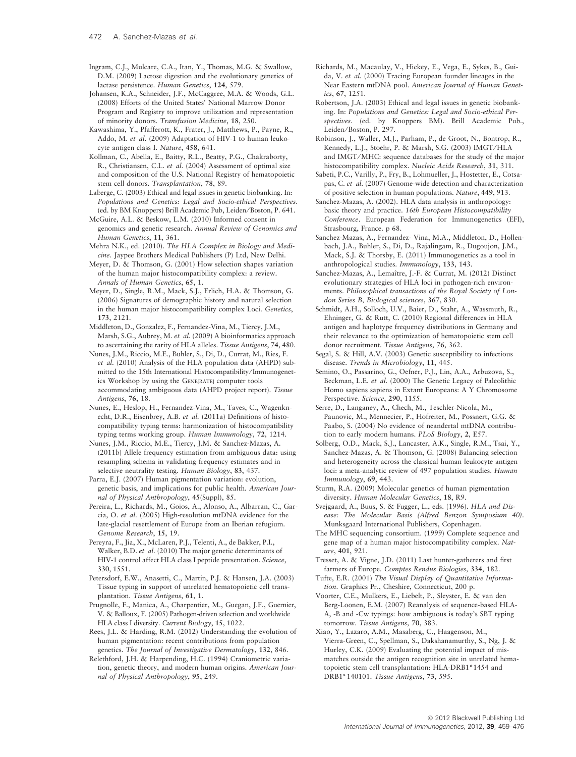- Ingram, C.J., Mulcare, C.A., Itan, Y., Thomas, M.G. & Swallow, D.M. (2009) Lactose digestion and the evolutionary genetics of lactase persistence. Human Genetics, 124, 579.
- Johansen, K.A., Schneider, J.F., McCaggree, M.A. & Woods, G.L. (2008) Efforts of the United States' National Marrow Donor Program and Registry to improve utilization and representation of minority donors. Transfusion Medicine, 18, 250.
- Kawashima, Y., Pfafferott, K., Frater, J., Matthews, P., Payne, R., Addo, M. et al. (2009) Adaptation of HIV-1 to human leukocyte antigen class I. Nature, 458, 641.
- Kollman, C., Abella, E., Baitty, R.L., Beatty, P.G., Chakraborty, R., Christiansen, C.L. et al. (2004) Assessment of optimal size and composition of the U.S. National Registry of hematopoietic stem cell donors. Transplantation, 78, 89.
- Laberge, C. (2003) Ethical and legal issues in genetic biobanking. In: Populations and Genetics: Legal and Socio-ethical Perspectives. (ed. by BM Knoppers) Brill Academic Pub, Leiden ⁄ Boston, P. 641.
- McGuire, A.L. & Beskow, L.M. (2010) Informed consent in genomics and genetic research. Annual Review of Genomics and Human Genetics, 11, 361.
- Mehra N.K., ed. (2010). The HLA Complex in Biology and Medicine. Jaypee Brothers Medical Publishers (P) Ltd, New Delhi.
- Meyer, D. & Thomson, G. (2001) How selection shapes variation of the human major histocompatibility complex: a review. Annals of Human Genetics, 65, 1.
- Meyer, D., Single, R.M., Mack, S.J., Erlich, H.A. & Thomson, G. (2006) Signatures of demographic history and natural selection in the human major histocompatibility complex Loci. Genetics, 173, 2121.
- Middleton, D., Gonzalez, F., Fernandez-Vina, M., Tiercy, J.M., Marsh, S.G., Aubrey, M. et al. (2009) A bioinformatics approach to ascertaining the rarity of HLA alleles. Tissue Antigens, 74, 480.
- Nunes, J.M., Riccio, M.E., Buhler, S., Di, D., Currat, M., Ries, F. et al. (2010) Analysis of the HLA population data (AHPD) submitted to the 15th International Histocompatibility ⁄ Immunogenetics Workshop by using the GENE[RATE] computer tools accommodating ambiguous data (AHPD project report). Tissue Antigens, 76, 18.
- Nunes, E., Heslop, H., Fernandez-Vina, M., Taves, C., Wagenknecht, D.R., Eisenbrey, A.B. et al. (2011a) Definitions of histocompatibility typing terms: harmonization of histocompatibility typing terms working group. Human Immunology, 72, 1214.
- Nunes, J.M., Riccio, M.E., Tiercy, J.M. & Sanchez-Mazas, A. (2011b) Allele frequency estimation from ambiguous data: using resampling schema in validating frequency estimates and in selective neutrality testing. Human Biology, 83, 437.
- Parra, E.J. (2007) Human pigmentation variation: evolution, genetic basis, and implications for public health. American Journal of Physical Anthropology, 45(Suppl), 85.
- Pereira, L., Richards, M., Goios, A., Alonso, A., Albarran, C., Garcia, O. et al. (2005) High-resolution mtDNA evidence for the late-glacial resettlement of Europe from an Iberian refugium. Genome Research, 15, 19.
- Pereyra, F., Jia, X., McLaren, P.J., Telenti, A., de Bakker, P.I., Walker, B.D. et al. (2010) The major genetic determinants of HIV-1 control affect HLA class I peptide presentation. Science, 330, 1551.
- Petersdorf, E.W., Anasetti, C., Martin, P.J. & Hansen, J.A. (2003) Tissue typing in support of unrelated hematopoietic cell transplantation. Tissue Antigens, 61, 1.
- Prugnolle, F., Manica, A., Charpentier, M., Guegan, J.F., Guernier, V. & Balloux, F. (2005) Pathogen-driven selection and worldwide HLA class I diversity. Current Biology, 15, 1022.
- Rees, J.L. & Harding, R.M. (2012) Understanding the evolution of human pigmentation: recent contributions from population genetics. The Journal of Investigative Dermatology, 132, 846.
- Relethford, J.H. & Harpending, H.C. (1994) Craniometric variation, genetic theory, and modern human origins. American Journal of Physical Anthropology, 95, 249.
- Richards, M., Macaulay, V., Hickey, E., Vega, E., Sykes, B., Guida, V. et al. (2000) Tracing European founder lineages in the Near Eastern mtDNA pool. American Journal of Human Genetics, 67, 1251.
- Robertson, J.A. (2003) Ethical and legal issues in genetic biobanking. In: Populations and Genetics: Legal and Socio-ethical Perspectives. (ed. by Knoppers BM). Brill Academic Pub., Leiden/Boston, P. 297.
- Robinson, J., Waller, M.J., Parham, P., de Groot, N., Bontrop, R., Kennedy, L.J., Stoehr, P. & Marsh, S.G. (2003) IMGT ⁄ HLA and IMGT/MHC: sequence databases for the study of the major histocompatibility complex. Nucleic Acids Research, 31, 311.
- Sabeti, P.C., Varilly, P., Fry, B., Lohmueller, J., Hostetter, E., Cotsapas, C. et al. (2007) Genome-wide detection and characterization of positive selection in human populations. Nature, 449, 913.
- Sanchez-Mazas, A. (2002). HLA data analysis in anthropology: basic theory and practice. 16th European Histocompatibility Conference. European Federation for Immunogenetics (EFI), Strasbourg, France. p 68.
- Sanchez-Mazas, A., Fernandez- Vina, M.A., Middleton, D., Hollenbach, J.A., Buhler, S., Di, D., Rajalingam, R., Dugoujon, J.M., Mack, S.J. & Thorsby, E. (2011) Immunogenetics as a tool in anthropological studies. Immunology, 133, 143.
- Sanchez-Mazas, A., Lemaître, J.-F. & Currat, M. (2012) Distinct evolutionary strategies of HLA loci in pathogen-rich environments. Philosophical transactions of the Royal Society of London Series B, Biological sciences, 367, 830.
- Schmidt, A.H., Solloch, U.V., Baier, D., Stahr, A., Wassmuth, R., Ehninger, G. & Rutt, C. (2010) Regional differences in HLA antigen and haplotype frequency distributions in Germany and their relevance to the optimization of hematopoietic stem cell donor recruitment. Tissue Antigens, 76, 362.
- Segal, S. & Hill, A.V. (2003) Genetic susceptibility to infectious disease. Trends in Microbiology, 11, 445.
- Semino, O., Passarino, G., Oefner, P.J., Lin, A.A., Arbuzova, S., Beckman, L.E. et al. (2000) The Genetic Legacy of Paleolithic Homo sapiens sapiens in Extant Europeans: A Y Chromosome Perspective. Science, 290, 1155.
- Serre, D., Langaney, A., Chech, M., Teschler-Nicola, M., Paunovic, M., Mennecier, P., Hofreiter, M., Possnert, G.G. & Paabo, S. (2004) No evidence of neandertal mtDNA contribution to early modern humans. PLoS Biology, 2, E57.
- Solberg, O.D., Mack, S.J., Lancaster, A.K., Single, R.M., Tsai, Y., Sanchez-Mazas, A. & Thomson, G. (2008) Balancing selection and heterogeneity across the classical human leukocyte antigen loci: a meta-analytic review of 497 population studies. Human Immunology, 69, 443.
- Sturm, R.A. (2009) Molecular genetics of human pigmentation diversity. Human Molecular Genetics, 18, R9.
- Svejgaard, A., Buus, S. & Fugger, L., eds. (1996). HLA and Disease: The Molecular Basis (Alfred Benzon Symposium 40). Munksgaard International Publishers, Copenhagen.
- The MHC sequencing consortium. (1999) Complete sequence and gene map of a human major histocompatibility complex. Nature, 401, 921.
- Tresset, A. & Vigne, J.D. (2011) Last hunter-gatherers and first farmers of Europe. Comptes Rendus Biologies, 334, 182.
- Tufte, E.R. (2001) The Visual Display of Quantitative Information. Graphics Pr., Cheshire, Connecticut, 200 p.
- Voorter, C.E., Mulkers, E., Liebelt, P., Sleyster, E. & van den Berg-Loonen, E.M. (2007) Reanalysis of sequence-based HLA-A, -B and -Cw typings: how ambiguous is today's SBT typing tomorrow. Tissue Antigens, 70, 383.
- Xiao, Y., Lazaro, A.M., Masaberg, C., Haagenson, M., Vierra-Green, C., Spellman, S., Dakshanamurthy, S., Ng, J. & Hurley, C.K. (2009) Evaluating the potential impact of mismatches outside the antigen recognition site in unrelated hematopoietic stem cell transplantation: HLA-DRB1\*1454 and DRB1\*140101. Tissue Antigens, 73, 595.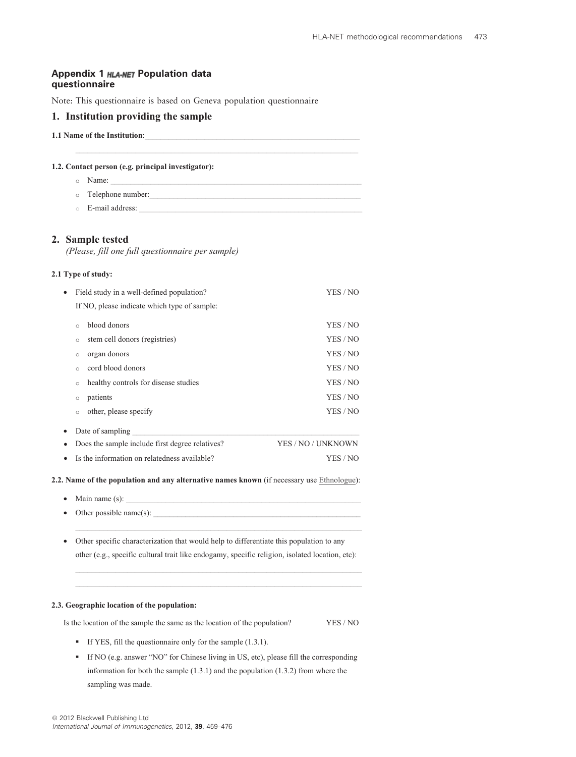# Appendix 1 HLA-NET Population data questionnaire

Note: This questionnaire is based on Geneva population questionnaire

# **1. Institution providing the sample**

**1.1 Name of the Institution:** 

**1.2. Contact person (e.g. principal investigator):** 

- $\circ$  Name:
- $\circ$  Telephone number:  $\circ$  E-mail address:
- **2. Sample tested**

*(Please, fill one full questionnaire per sample)* 

#### **2.1 Type of study:**

|         | Field study in a well-defined population?       | YES / NO           |
|---------|-------------------------------------------------|--------------------|
|         | If NO, please indicate which type of sample:    |                    |
| $\circ$ | blood donors                                    | YES / NO           |
| $\circ$ | stem cell donors (registries)                   | YES / NO           |
| $\circ$ | organ donors                                    | YES / NO           |
| $\circ$ | cord blood donors                               | YES / NO           |
| $\circ$ | healthy controls for disease studies            | YES / NO           |
| $\circ$ | patients                                        | YES / NO           |
| $\circ$ | other, please specify                           | YES / NO           |
|         | Date of sampling                                |                    |
|         | Does the sample include first degree relatives? | YES / NO / UNKNOWN |
|         | Is the information on relatedness available?    | YES / NO           |

**2.2. Name of the population and any alternative names known** (if necessary use Ethnologue):

- $\bullet$  Main name (s):
- Other possible name(s):  $\Box$
- Other specific characterization that would help to differentiate this population to any other (e.g., specific cultural trait like endogamy, specific religion, isolated location, etc):

### **2.3. Geographic location of the population:**

Is the location of the sample the same as the location of the population? YES / NO

- If YES, fill the questionnaire only for the sample (1.3.1).
- If NO (e.g. answer "NO" for Chinese living in US, etc), please fill the corresponding information for both the sample  $(1.3.1)$  and the population  $(1.3.2)$  from where the sampling was made.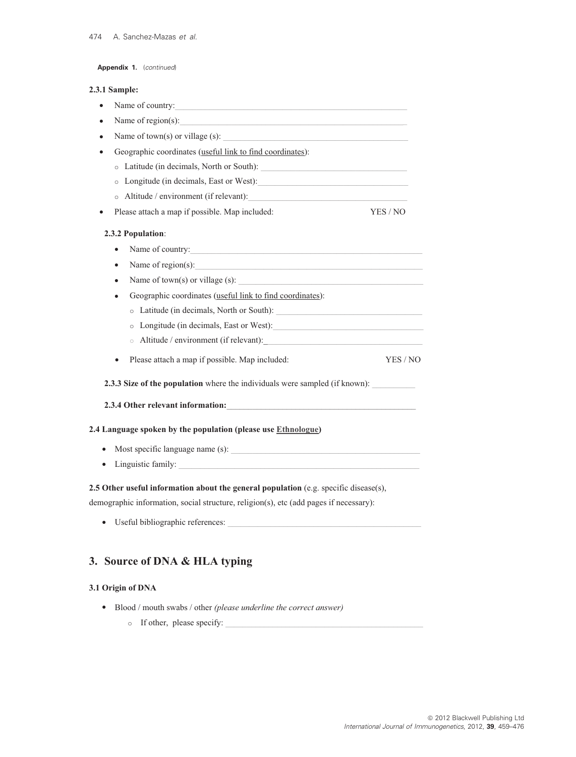Appendix 1. (continued)

#### **2.3.1 Sample:**

| ٠         | Name of country:                                                                                                            |          |  |  |  |  |
|-----------|-----------------------------------------------------------------------------------------------------------------------------|----------|--|--|--|--|
| ٠         | Name of region(s):                                                                                                          |          |  |  |  |  |
| $\bullet$ |                                                                                                                             |          |  |  |  |  |
| ٠         | Geographic coordinates (useful link to find coordinates):                                                                   |          |  |  |  |  |
|           |                                                                                                                             |          |  |  |  |  |
|           |                                                                                                                             |          |  |  |  |  |
|           | $\circ$ Altitude / environment (if relevant):<br>the control of the control of the control of the control of the control of |          |  |  |  |  |
|           | Please attach a map if possible. Map included:                                                                              | YES / NO |  |  |  |  |
|           | 2.3.2 Population:                                                                                                           |          |  |  |  |  |
|           | Name of country:                                                                                                            |          |  |  |  |  |
|           | Name of region(s):<br>$\bullet$                                                                                             |          |  |  |  |  |
|           | $\bullet$                                                                                                                   |          |  |  |  |  |
|           | Geographic coordinates (useful link to find coordinates):                                                                   |          |  |  |  |  |
|           |                                                                                                                             |          |  |  |  |  |
|           | o Longitude (in decimals, East or West):                                                                                    |          |  |  |  |  |
|           | Altitude / environment (if relevant):<br>$\circ$                                                                            |          |  |  |  |  |
|           | Please attach a map if possible. Map included:                                                                              | YES / NO |  |  |  |  |
|           | 2.3.3 Size of the population where the individuals were sampled (if known):                                                 |          |  |  |  |  |
|           |                                                                                                                             |          |  |  |  |  |

# **2.4 Language spoken by the population (please use Ethnologue)**

- $\bullet$  Most specific language name (s):  $\qquad \qquad$
- Linguistic family: \_\_\_\_\_\_\_\_\_\_\_\_\_\_\_\_\_\_\_\_\_\_\_\_\_\_\_\_\_\_\_\_\_\_\_\_\_\_\_\_\_\_\_\_\_\_\_\_\_\_\_\_\_\_\_\_ •

# **2.5 Other useful information about the general population** (e.g. specific disease(s),

demographic information, social structure, religion(s), etc (add pages if necessary):

Useful bibliographic references: \_\_\_\_\_\_\_\_\_\_\_\_\_\_\_\_\_\_\_\_\_\_\_\_\_\_\_\_\_\_\_\_\_\_\_\_\_\_\_\_\_\_\_\_\_ •

# **3. Source of DNA & HLA typing**

# **3.1 Origin of DNA**

- Blood / mouth swabs / other *(please underline the correct answer)* 
	- $\circ$  If other, please specify: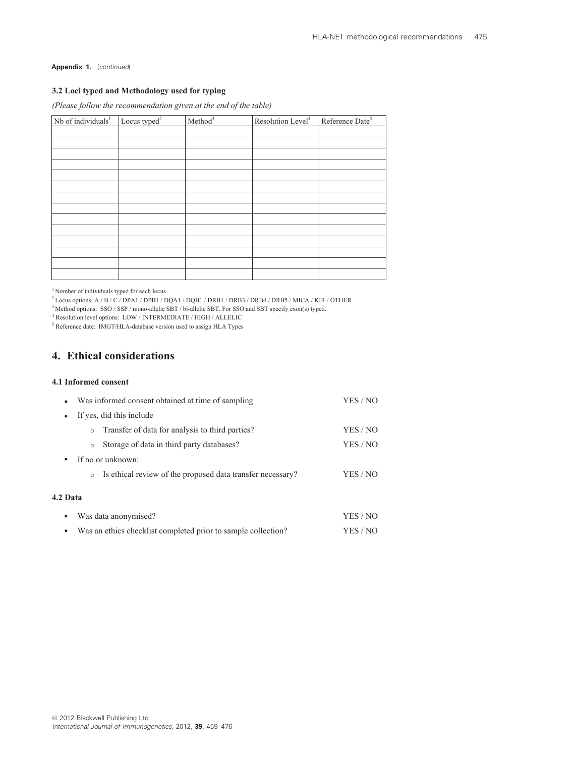#### Appendix 1. (continued)

# **3.2 Loci typed and Methodology used for typing**

*(Please follow the recommendation given at the end of the table)*

| $Nb$ of individuals <sup>1</sup> | Locus typed $2$ | Method <sup>3</sup> | Resolution Level <sup>4</sup> | Reference Date <sup>5</sup> |
|----------------------------------|-----------------|---------------------|-------------------------------|-----------------------------|
|                                  |                 |                     |                               |                             |
|                                  |                 |                     |                               |                             |
|                                  |                 |                     |                               |                             |
|                                  |                 |                     |                               |                             |
|                                  |                 |                     |                               |                             |
|                                  |                 |                     |                               |                             |
|                                  |                 |                     |                               |                             |
|                                  |                 |                     |                               |                             |
|                                  |                 |                     |                               |                             |
|                                  |                 |                     |                               |                             |
|                                  |                 |                     |                               |                             |
|                                  |                 |                     |                               |                             |
|                                  |                 |                     |                               |                             |
|                                  |                 |                     |                               |                             |

<sup>1</sup> Number of individuals typed for each locus

<sup>2</sup> Locus options: A / B / C / DPA1 / DPB1 / DQA1 / DQB1 / DRB1 / DRB3 / DRB4 / DRB5 / MICA / KIR / OTHER

<sup>3</sup> Method options: SSO / SSP / mono-allelic SBT / bi-allelic SBT. For SSO and SBT specify exon(s) typed.

4 Resolution level options: LOW / INTERMEDIATE / HIGH / ALLELIC

<sup>5</sup> Reference date: IMGT/HLA-database version used to assign HLA Types

# **4. Ethical considerations**

# **4.1 Informed consent**

| Was informed consent obtained at time of sampling                     | YES / NO |  |
|-----------------------------------------------------------------------|----------|--|
| If yes, did this include                                              |          |  |
| Transfer of data for analysis to third parties?<br>$\circ$            | YES / NO |  |
| Storage of data in third party databases?<br>$\circ$                  | YES / NO |  |
| If no or unknown:<br>٠                                                |          |  |
| Is ethical review of the proposed data transfer necessary?<br>$\circ$ | YES / NO |  |
| 4.2 Data                                                              |          |  |
| Was data anonymised?<br>٠                                             | YES / NO |  |
| Was an ethics checklist completed prior to sample collection?<br>٠    | YES / NO |  |